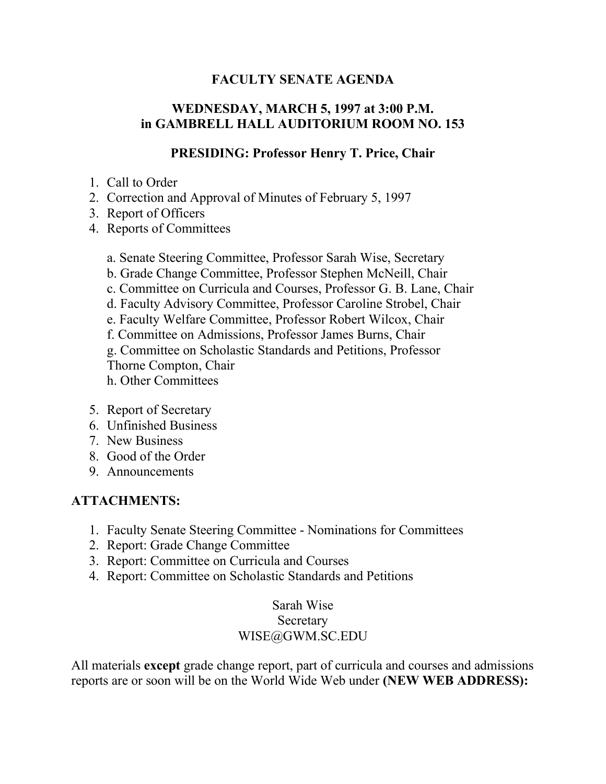#### **FACULTY SENATE AGENDA**

## **WEDNESDAY, MARCH 5, 1997 at 3:00 P.M. in GAMBRELL HALL AUDITORIUM ROOM NO. 153**

#### **PRESIDING: Professor Henry T. Price, Chair**

- 1. Call to Order
- 2. Correction and Approval of Minutes of February 5, 1997
- 3. Report of Officers
- 4. Reports of Committees
	- a. Senate Steering Committee, Professor Sarah Wise, Secretary
	- b. Grade Change Committee, Professor Stephen McNeill, Chair
	- c. Committee on Curricula and Courses, Professor G. B. Lane, Chair
	- d. Faculty Advisory Committee, Professor Caroline Strobel, Chair
	- e. Faculty Welfare Committee, Professor Robert Wilcox, Chair
	- f. Committee on Admissions, Professor James Burns, Chair
	- g. Committee on Scholastic Standards and Petitions, Professor Thorne Compton, Chair
	- h. Other Committees
- 5. Report of Secretary
- 6. Unfinished Business
- 7. New Business
- 8. Good of the Order
- 9. Announcements

#### **ATTACHMENTS:**

- 1. Faculty Senate Steering Committee Nominations for Committees
- 2. Report: Grade Change Committee
- 3. Report: Committee on Curricula and Courses
- 4. Report: Committee on Scholastic Standards and Petitions

## Sarah Wise Secretary WISE@GWM.SC.EDU

All materials **except** grade change report, part of curricula and courses and admissions reports are or soon will be on the World Wide Web under **(NEW WEB ADDRESS):**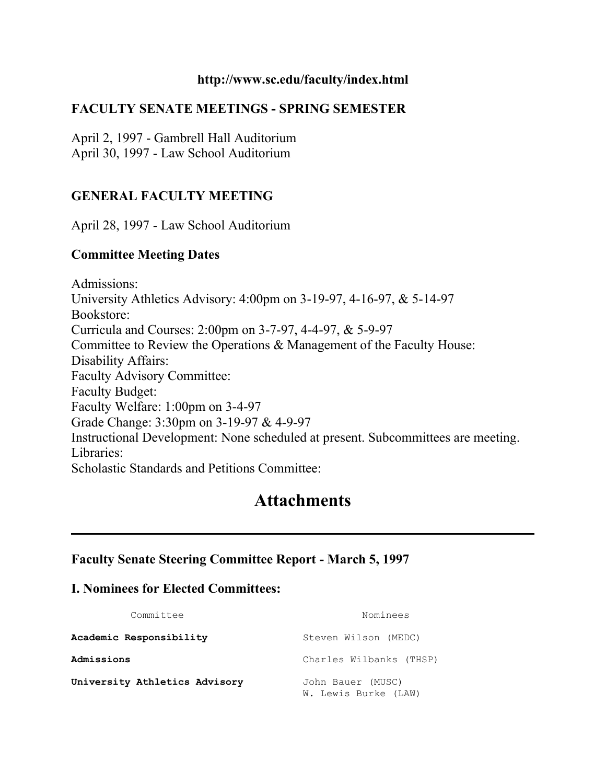#### **http://www.sc.edu/faculty/index.html**

#### **FACULTY SENATE MEETINGS - SPRING SEMESTER**

April 2, 1997 - Gambrell Hall Auditorium April 30, 1997 - Law School Auditorium

#### **GENERAL FACULTY MEETING**

April 28, 1997 - Law School Auditorium

#### **Committee Meeting Dates**

Admissions: University Athletics Advisory: 4:00pm on 3-19-97, 4-16-97, & 5-14-97 Bookstore: Curricula and Courses: 2:00pm on 3-7-97, 4-4-97, & 5-9-97 Committee to Review the Operations & Management of the Faculty House: Disability Affairs: Faculty Advisory Committee: Faculty Budget: Faculty Welfare: 1:00pm on 3-4-97 Grade Change: 3:30pm on 3-19-97 & 4-9-97 Instructional Development: None scheduled at present. Subcommittees are meeting. Libraries: Scholastic Standards and Petitions Committee:

# **Attachments**

#### **Faculty Senate Steering Committee Report - March 5, 1997**

#### **I. Nominees for Elected Committees:**

| Committee                     | Nominees                                  |
|-------------------------------|-------------------------------------------|
| Academic Responsibility       | Steven Wilson (MEDC)                      |
| Admissions                    | Charles Wilbanks (THSP)                   |
| University Athletics Advisory | John Bauer (MUSC)<br>W. Lewis Burke (LAW) |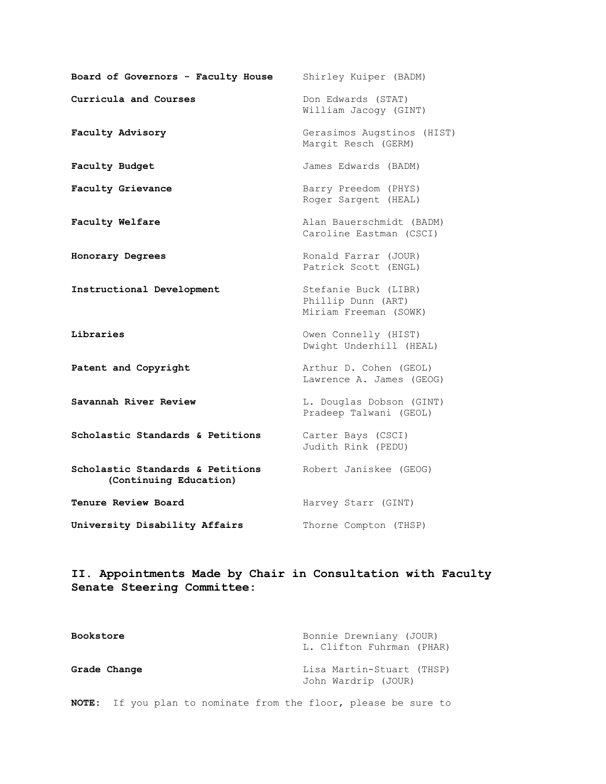| Board of Governors - Faculty House                         | Shirley Kuiper (BADM)                                               |
|------------------------------------------------------------|---------------------------------------------------------------------|
| Curricula and Courses                                      | Don Edwards (STAT)<br>William Jacogy (GINT)                         |
| Faculty Advisory                                           | Gerasimos Augstinos (HIST)<br>Margit Resch (GERM)                   |
| Faculty Budget                                             | James Edwards (BADM)                                                |
| Faculty Grievance                                          | Barry Preedom (PHYS)<br>Roger Sargent (HEAL)                        |
| Faculty Welfare                                            | Alan Bauerschmidt (BADM)<br>Caroline Eastman (CSCI)                 |
| Honorary Degrees                                           | Ronald Farrar (JOUR)<br>Patrick Scott (ENGL)                        |
| Instructional Development                                  | Stefanie Buck (LIBR)<br>Phillip Dunn (ART)<br>Miriam Freeman (SOWK) |
| Libraries                                                  | Owen Connelly (HIST)<br>Dwight Underhill (HEAL)                     |
| Patent and Copyright                                       | Arthur D. Cohen (GEOL)<br>Lawrence A. James (GEOG)                  |
| Savannah River Review                                      | L. Douglas Dobson (GINT)<br>Pradeep Talwani (GEOL)                  |
| Scholastic Standards & Petitions                           | Carter Bays (CSCI)<br>Judith Rink (PEDU)                            |
| Scholastic Standards & Petitions<br>(Continuing Education) | Robert Janiskee (GEOG)                                              |
| Tenure Review Board                                        | Harvey Starr (GINT)                                                 |
| University Disability Affairs                              | Thorne Compton (THSP)                                               |

**II. Appointments Made by Chair in Consultation with Faculty Senate Steering Committee:**

| <b>Bookstore</b> | Bonnie Drewniany (JOUR)<br>L. Clifton Fuhrman (PHAR) |
|------------------|------------------------------------------------------|
| Grade Change     | Lisa Martin-Stuart (THSP)<br>John Wardrip (JOUR)     |

**NOTE:** If you plan to nominate from the floor, please be sure to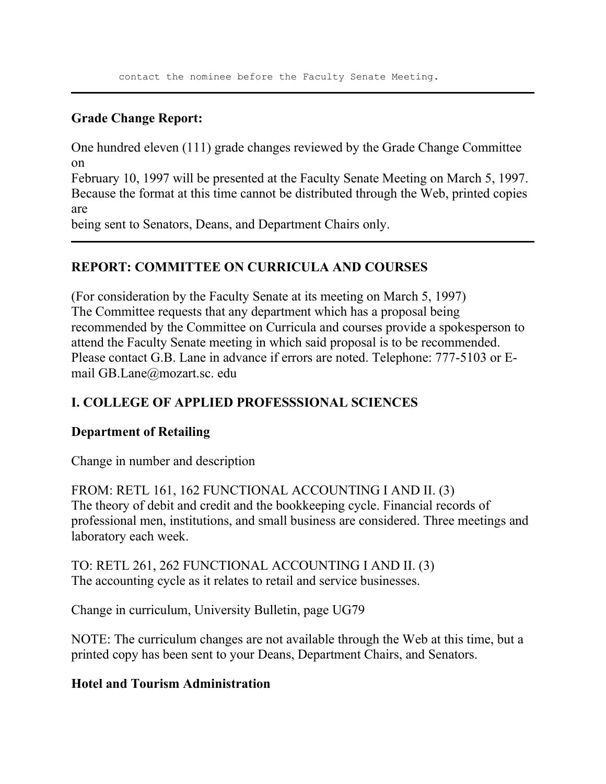## **Grade Change Report:**

One hundred eleven (111) grade changes reviewed by the Grade Change Committee on

February 10, 1997 will be presented at the Faculty Senate Meeting on March 5, 1997. Because the format at this time cannot be distributed through the Web, printed copies are

being sent to Senators, Deans, and Department Chairs only.

## **REPORT: COMMITTEE ON CURRICULA AND COURSES**

(For consideration by the Faculty Senate at its meeting on March 5, 1997) The Committee requests that any department which has a proposal being recommended by the Committee on Curricula and courses provide a spokesperson to attend the Faculty Senate meeting in which said proposal is to be recommended. Please contact G.B. Lane in advance if errors are noted. Telephone: 777-5103 or Email GB.Lane@mozart.sc. edu

# **I. COLLEGE OF APPLIED PROFESSSIONAL SCIENCES**

#### **Department of Retailing**

Change in number and description

FROM: RETL 161, 162 FUNCTIONAL ACCOUNTING I AND II. (3) The theory of debit and credit and the bookkeeping cycle. Financial records of professional men, institutions, and small business are considered. Three meetings and laboratory each week.

TO: RETL 261, 262 FUNCTIONAL ACCOUNTING I AND II. (3) The accounting cycle as it relates to retail and service businesses.

Change in curriculum, University Bulletin, page UG79

NOTE: The curriculum changes are not available through the Web at this time, but a printed copy has been sent to your Deans, Department Chairs, and Senators.

## **Hotel and Tourism Administration**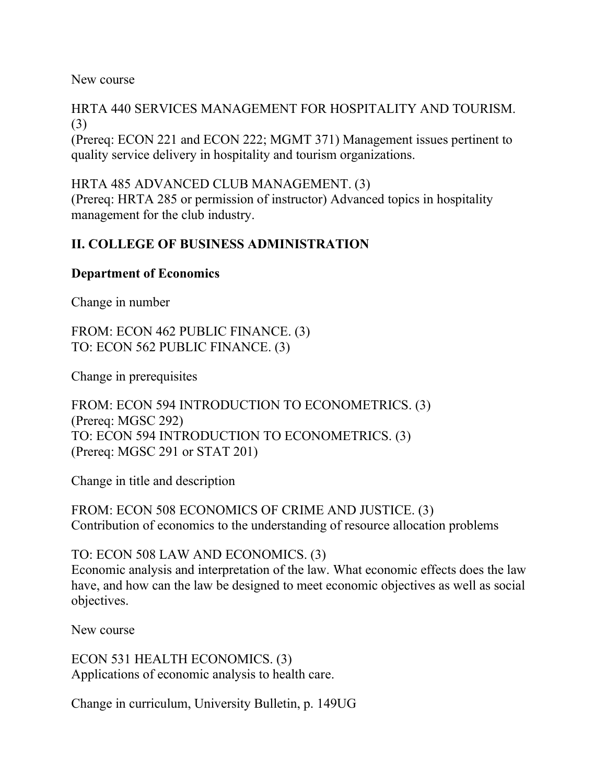New course

HRTA 440 SERVICES MANAGEMENT FOR HOSPITALITY AND TOURISM. (3)

(Prereq: ECON 221 and ECON 222; MGMT 371) Management issues pertinent to quality service delivery in hospitality and tourism organizations.

HRTA 485 ADVANCED CLUB MANAGEMENT. (3) (Prereq: HRTA 285 or permission of instructor) Advanced topics in hospitality management for the club industry.

## **II. COLLEGE OF BUSINESS ADMINISTRATION**

#### **Department of Economics**

Change in number

FROM: ECON 462 PUBLIC FINANCE. (3) TO: ECON 562 PUBLIC FINANCE. (3)

Change in prerequisites

FROM: ECON 594 INTRODUCTION TO ECONOMETRICS. (3) (Prereq: MGSC 292) TO: ECON 594 INTRODUCTION TO ECONOMETRICS. (3) (Prereq: MGSC 291 or STAT 201)

Change in title and description

FROM: ECON 508 ECONOMICS OF CRIME AND JUSTICE. (3) Contribution of economics to the understanding of resource allocation problems

TO: ECON 508 LAW AND ECONOMICS. (3)

Economic analysis and interpretation of the law. What economic effects does the law have, and how can the law be designed to meet economic objectives as well as social objectives.

New course

ECON 531 HEALTH ECONOMICS. (3) Applications of economic analysis to health care.

Change in curriculum, University Bulletin, p. 149UG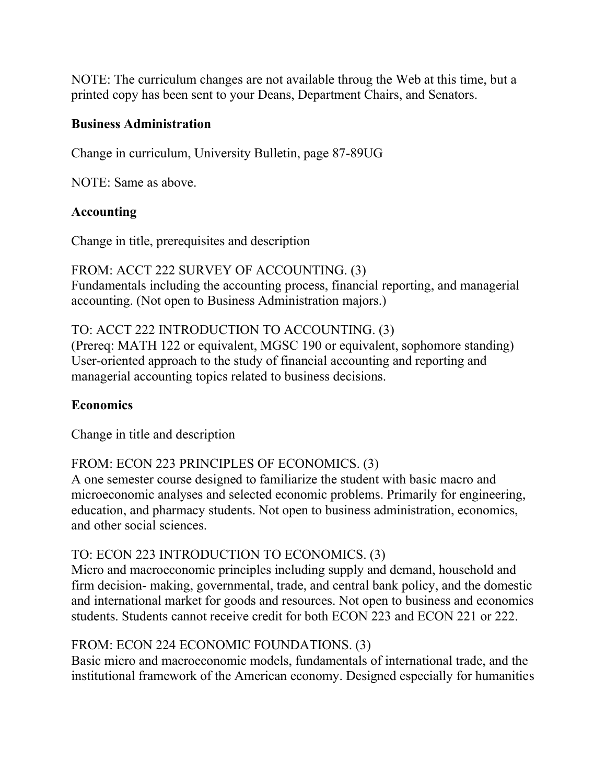NOTE: The curriculum changes are not available throug the Web at this time, but a printed copy has been sent to your Deans, Department Chairs, and Senators.

#### **Business Administration**

Change in curriculum, University Bulletin, page 87-89UG

NOTE: Same as above.

#### **Accounting**

Change in title, prerequisites and description

# FROM: ACCT 222 SURVEY OF ACCOUNTING. (3)

Fundamentals including the accounting process, financial reporting, and managerial accounting. (Not open to Business Administration majors.)

## TO: ACCT 222 INTRODUCTION TO ACCOUNTING. (3)

(Prereq: MATH 122 or equivalent, MGSC 190 or equivalent, sophomore standing) User-oriented approach to the study of financial accounting and reporting and managerial accounting topics related to business decisions.

## **Economics**

Change in title and description

## FROM: ECON 223 PRINCIPLES OF ECONOMICS. (3)

A one semester course designed to familiarize the student with basic macro and microeconomic analyses and selected economic problems. Primarily for engineering, education, and pharmacy students. Not open to business administration, economics, and other social sciences.

## TO: ECON 223 INTRODUCTION TO ECONOMICS. (3)

Micro and macroeconomic principles including supply and demand, household and firm decision- making, governmental, trade, and central bank policy, and the domestic and international market for goods and resources. Not open to business and economics students. Students cannot receive credit for both ECON 223 and ECON 221 or 222.

## FROM: ECON 224 ECONOMIC FOUNDATIONS. (3)

Basic micro and macroeconomic models, fundamentals of international trade, and the institutional framework of the American economy. Designed especially for humanities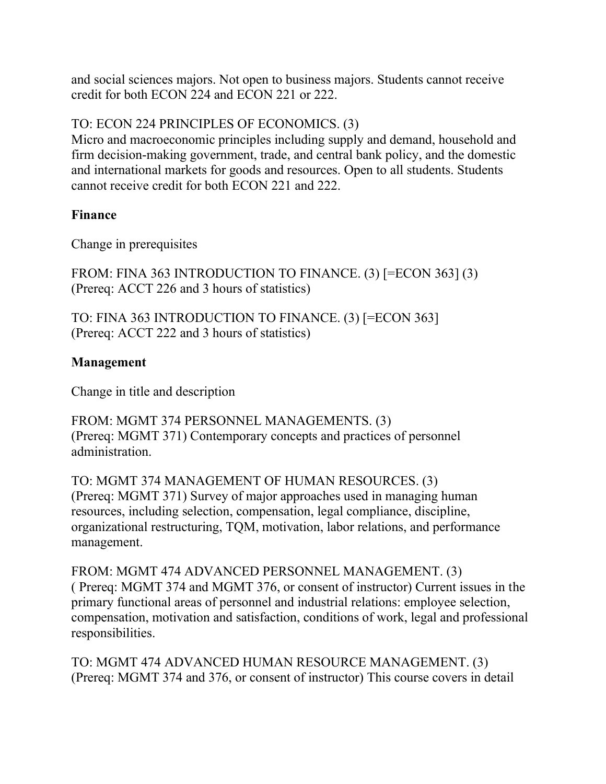and social sciences majors. Not open to business majors. Students cannot receive credit for both ECON 224 and ECON 221 or 222.

# TO: ECON 224 PRINCIPLES OF ECONOMICS. (3)

Micro and macroeconomic principles including supply and demand, household and firm decision-making government, trade, and central bank policy, and the domestic and international markets for goods and resources. Open to all students. Students cannot receive credit for both ECON 221 and 222.

#### **Finance**

Change in prerequisites

FROM: FINA 363 INTRODUCTION TO FINANCE. (3) [=ECON 363] (3) (Prereq: ACCT 226 and 3 hours of statistics)

TO: FINA 363 INTRODUCTION TO FINANCE. (3) [=ECON 363] (Prereq: ACCT 222 and 3 hours of statistics)

#### **Management**

Change in title and description

FROM: MGMT 374 PERSONNEL MANAGEMENTS. (3) (Prereq: MGMT 371) Contemporary concepts and practices of personnel administration.

TO: MGMT 374 MANAGEMENT OF HUMAN RESOURCES. (3) (Prereq: MGMT 371) Survey of major approaches used in managing human resources, including selection, compensation, legal compliance, discipline, organizational restructuring, TQM, motivation, labor relations, and performance management.

FROM: MGMT 474 ADVANCED PERSONNEL MANAGEMENT. (3) ( Prereq: MGMT 374 and MGMT 376, or consent of instructor) Current issues in the primary functional areas of personnel and industrial relations: employee selection, compensation, motivation and satisfaction, conditions of work, legal and professional responsibilities.

TO: MGMT 474 ADVANCED HUMAN RESOURCE MANAGEMENT. (3) (Prereq: MGMT 374 and 376, or consent of instructor) This course covers in detail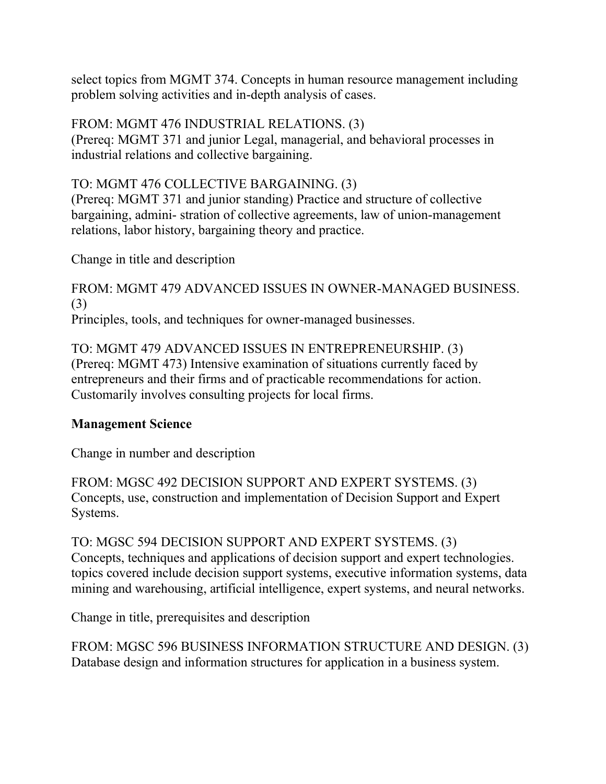select topics from MGMT 374. Concepts in human resource management including problem solving activities and in-depth analysis of cases.

FROM: MGMT 476 INDUSTRIAL RELATIONS. (3)

(Prereq: MGMT 371 and junior Legal, managerial, and behavioral processes in industrial relations and collective bargaining.

# TO: MGMT 476 COLLECTIVE BARGAINING. (3)

(Prereq: MGMT 371 and junior standing) Practice and structure of collective bargaining, admini- stration of collective agreements, law of union-management relations, labor history, bargaining theory and practice.

Change in title and description

FROM: MGMT 479 ADVANCED ISSUES IN OWNER-MANAGED BUSINESS. (3) Principles, tools, and techniques for owner-managed businesses.

TO: MGMT 479 ADVANCED ISSUES IN ENTREPRENEURSHIP. (3) (Prereq: MGMT 473) Intensive examination of situations currently faced by entrepreneurs and their firms and of practicable recommendations for action. Customarily involves consulting projects for local firms.

# **Management Science**

Change in number and description

FROM: MGSC 492 DECISION SUPPORT AND EXPERT SYSTEMS. (3) Concepts, use, construction and implementation of Decision Support and Expert Systems.

TO: MGSC 594 DECISION SUPPORT AND EXPERT SYSTEMS. (3) Concepts, techniques and applications of decision support and expert technologies. topics covered include decision support systems, executive information systems, data mining and warehousing, artificial intelligence, expert systems, and neural networks.

Change in title, prerequisites and description

FROM: MGSC 596 BUSINESS INFORMATION STRUCTURE AND DESIGN. (3) Database design and information structures for application in a business system.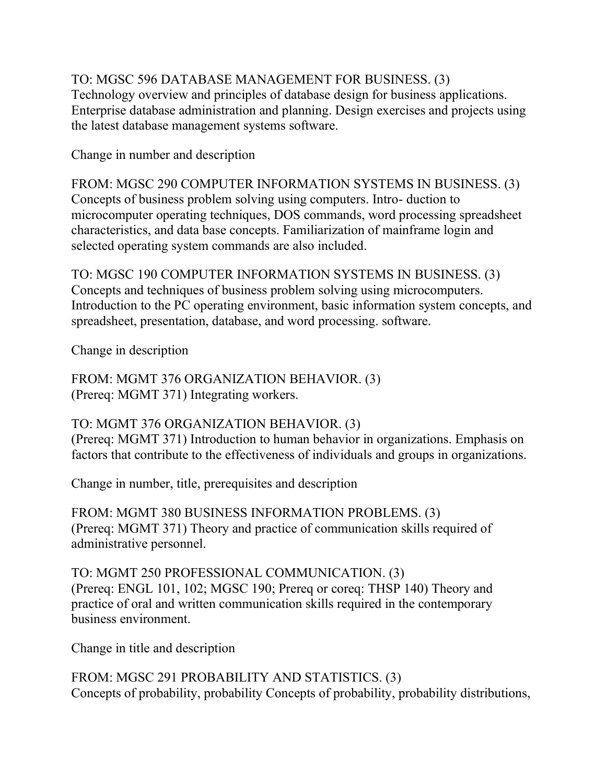TO: MGSC 596 DATABASE MANAGEMENT FOR BUSINESS. (3) Technology overview and principles of database design for business applications. Enterprise database administration and planning. Design exercises and projects using the latest database management systems software.

Change in number and description

FROM: MGSC 290 COMPUTER INFORMATION SYSTEMS IN BUSINESS. (3) Concepts of business problem solving using computers. Intro- duction to microcomputer operating techniques, DOS commands, word processing spreadsheet characteristics, and data base concepts. Familiarization of mainframe login and selected operating system commands are also included.

TO: MGSC 190 COMPUTER INFORMATION SYSTEMS IN BUSINESS. (3) Concepts and techniques of business problem solving using microcomputers. Introduction to the PC operating environment, basic information system concepts, and spreadsheet, presentation, database, and word processing. software.

Change in description

FROM: MGMT 376 ORGANIZATION BEHAVIOR. (3) (Prereq: MGMT 371) Integrating workers.

## TO: MGMT 376 ORGANIZATION BEHAVIOR. (3)

(Prereq: MGMT 371) Introduction to human behavior in organizations. Emphasis on factors that contribute to the effectiveness of individuals and groups in organizations.

Change in number, title, prerequisites and description

FROM: MGMT 380 BUSINESS INFORMATION PROBLEMS. (3) (Prereq: MGMT 371) Theory and practice of communication skills required of administrative personnel.

TO: MGMT 250 PROFESSIONAL COMMUNICATION. (3) (Prereq: ENGL 101, 102; MGSC 190; Prereq or coreq: THSP 140) Theory and practice of oral and written communication skills required in the contemporary business environment.

Change in title and description

FROM: MGSC 291 PROBABILITY AND STATISTICS. (3) Concepts of probability, probability Concepts of probability, probability distributions,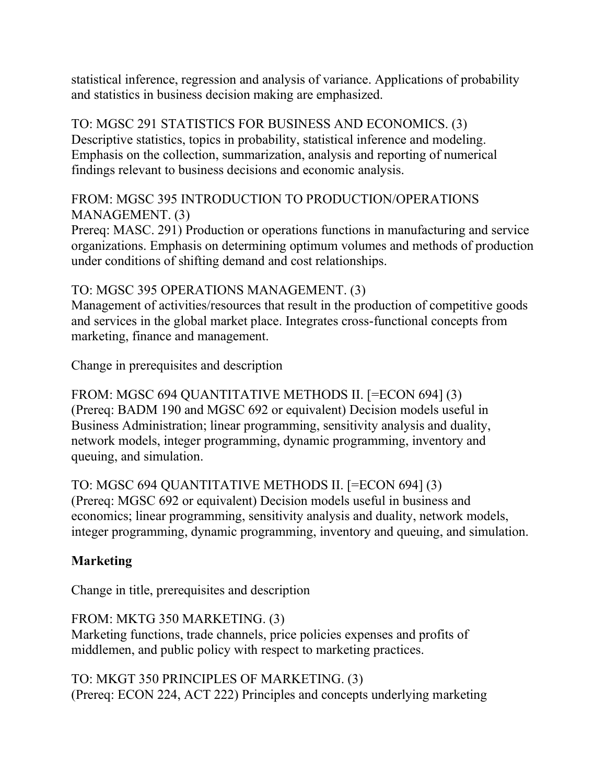statistical inference, regression and analysis of variance. Applications of probability and statistics in business decision making are emphasized.

TO: MGSC 291 STATISTICS FOR BUSINESS AND ECONOMICS. (3) Descriptive statistics, topics in probability, statistical inference and modeling. Emphasis on the collection, summarization, analysis and reporting of numerical findings relevant to business decisions and economic analysis.

## FROM: MGSC 395 INTRODUCTION TO PRODUCTION/OPERATIONS MANAGEMENT. (3)

Prereq: MASC. 291) Production or operations functions in manufacturing and service organizations. Emphasis on determining optimum volumes and methods of production under conditions of shifting demand and cost relationships.

## TO: MGSC 395 OPERATIONS MANAGEMENT. (3)

Management of activities/resources that result in the production of competitive goods and services in the global market place. Integrates cross-functional concepts from marketing, finance and management.

Change in prerequisites and description

FROM: MGSC 694 QUANTITATIVE METHODS II. [=ECON 694] (3) (Prereq: BADM 190 and MGSC 692 or equivalent) Decision models useful in Business Administration; linear programming, sensitivity analysis and duality, network models, integer programming, dynamic programming, inventory and queuing, and simulation.

TO: MGSC 694 QUANTITATIVE METHODS II. [=ECON 694] (3) (Prereq: MGSC 692 or equivalent) Decision models useful in business and economics; linear programming, sensitivity analysis and duality, network models, integer programming, dynamic programming, inventory and queuing, and simulation.

# **Marketing**

Change in title, prerequisites and description

FROM: MKTG 350 MARKETING. (3) Marketing functions, trade channels, price policies expenses and profits of middlemen, and public policy with respect to marketing practices.

TO: MKGT 350 PRINCIPLES OF MARKETING. (3) (Prereq: ECON 224, ACT 222) Principles and concepts underlying marketing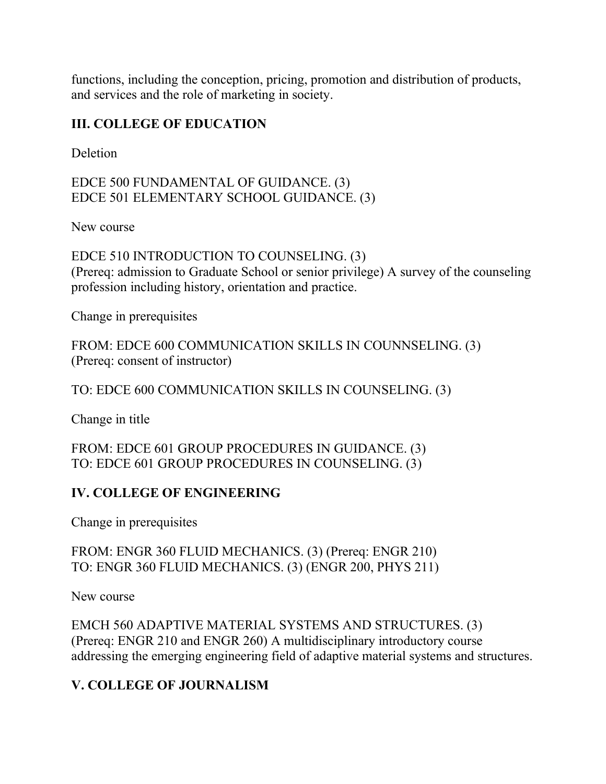functions, including the conception, pricing, promotion and distribution of products, and services and the role of marketing in society.

# **III. COLLEGE OF EDUCATION**

**Deletion** 

EDCE 500 FUNDAMENTAL OF GUIDANCE. (3) EDCE 501 ELEMENTARY SCHOOL GUIDANCE. (3)

New course

EDCE 510 INTRODUCTION TO COUNSELING. (3) (Prereq: admission to Graduate School or senior privilege) A survey of the counseling profession including history, orientation and practice.

Change in prerequisites

FROM: EDCE 600 COMMUNICATION SKILLS IN COUNNSELING. (3) (Prereq: consent of instructor)

TO: EDCE 600 COMMUNICATION SKILLS IN COUNSELING. (3)

Change in title

FROM: EDCE 601 GROUP PROCEDURES IN GUIDANCE. (3) TO: EDCE 601 GROUP PROCEDURES IN COUNSELING. (3)

## **IV. COLLEGE OF ENGINEERING**

Change in prerequisites

FROM: ENGR 360 FLUID MECHANICS. (3) (Prereq: ENGR 210) TO: ENGR 360 FLUID MECHANICS. (3) (ENGR 200, PHYS 211)

New course

EMCH 560 ADAPTIVE MATERIAL SYSTEMS AND STRUCTURES. (3) (Prereq: ENGR 210 and ENGR 260) A multidisciplinary introductory course addressing the emerging engineering field of adaptive material systems and structures.

# **V. COLLEGE OF JOURNALISM**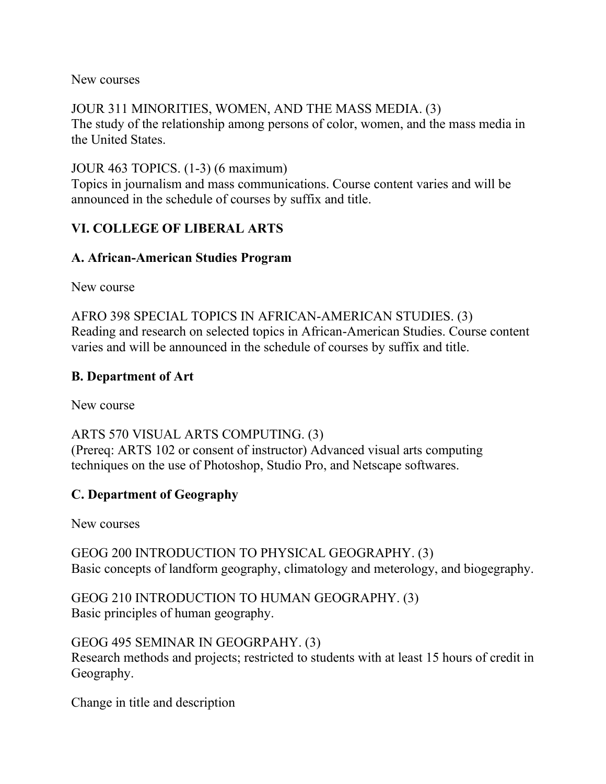New courses

JOUR 311 MINORITIES, WOMEN, AND THE MASS MEDIA. (3) The study of the relationship among persons of color, women, and the mass media in the United States.

JOUR 463 TOPICS. (1-3) (6 maximum)

Topics in journalism and mass communications. Course content varies and will be announced in the schedule of courses by suffix and title.

# **VI. COLLEGE OF LIBERAL ARTS**

# **A. African-American Studies Program**

New course

AFRO 398 SPECIAL TOPICS IN AFRICAN-AMERICAN STUDIES. (3) Reading and research on selected topics in African-American Studies. Course content varies and will be announced in the schedule of courses by suffix and title.

## **B. Department of Art**

New course

ARTS 570 VISUAL ARTS COMPUTING. (3) (Prereq: ARTS 102 or consent of instructor) Advanced visual arts computing techniques on the use of Photoshop, Studio Pro, and Netscape softwares.

# **C. Department of Geography**

New courses

GEOG 200 INTRODUCTION TO PHYSICAL GEOGRAPHY. (3) Basic concepts of landform geography, climatology and meterology, and biogegraphy.

GEOG 210 INTRODUCTION TO HUMAN GEOGRAPHY. (3) Basic principles of human geography.

GEOG 495 SEMINAR IN GEOGRPAHY. (3) Research methods and projects; restricted to students with at least 15 hours of credit in Geography.

Change in title and description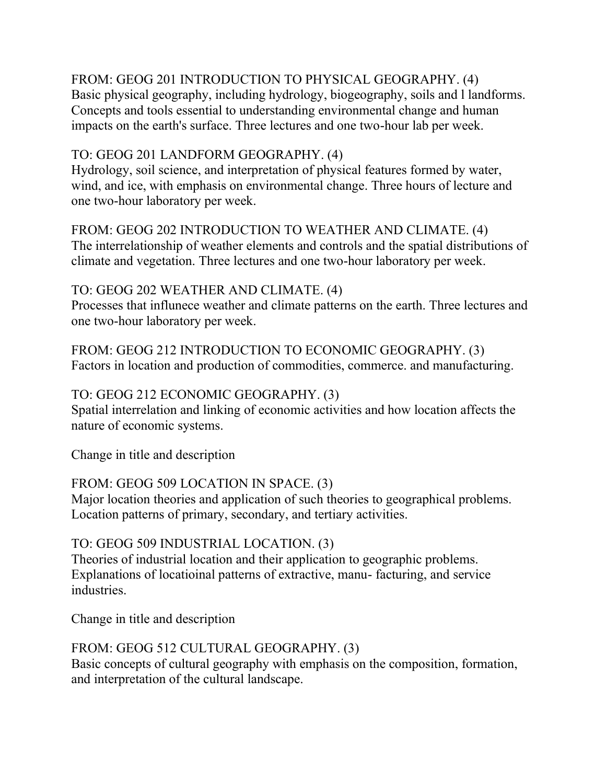# FROM: GEOG 201 INTRODUCTION TO PHYSICAL GEOGRAPHY. (4)

Basic physical geography, including hydrology, biogeography, soils and l landforms. Concepts and tools essential to understanding environmental change and human impacts on the earth's surface. Three lectures and one two-hour lab per week.

#### TO: GEOG 201 LANDFORM GEOGRAPHY. (4)

Hydrology, soil science, and interpretation of physical features formed by water, wind, and ice, with emphasis on environmental change. Three hours of lecture and one two-hour laboratory per week.

FROM: GEOG 202 INTRODUCTION TO WEATHER AND CLIMATE. (4) The interrelationship of weather elements and controls and the spatial distributions of climate and vegetation. Three lectures and one two-hour laboratory per week.

## TO: GEOG 202 WEATHER AND CLIMATE. (4)

Processes that influnece weather and climate patterns on the earth. Three lectures and one two-hour laboratory per week.

FROM: GEOG 212 INTRODUCTION TO ECONOMIC GEOGRAPHY. (3) Factors in location and production of commodities, commerce. and manufacturing.

## TO: GEOG 212 ECONOMIC GEOGRAPHY. (3)

Spatial interrelation and linking of economic activities and how location affects the nature of economic systems.

Change in title and description

## FROM: GEOG 509 LOCATION IN SPACE. (3)

Major location theories and application of such theories to geographical problems. Location patterns of primary, secondary, and tertiary activities.

## TO: GEOG 509 INDUSTRIAL LOCATION. (3)

Theories of industrial location and their application to geographic problems. Explanations of locatioinal patterns of extractive, manu- facturing, and service industries.

Change in title and description

## FROM: GEOG 512 CULTURAL GEOGRAPHY. (3)

Basic concepts of cultural geography with emphasis on the composition, formation, and interpretation of the cultural landscape.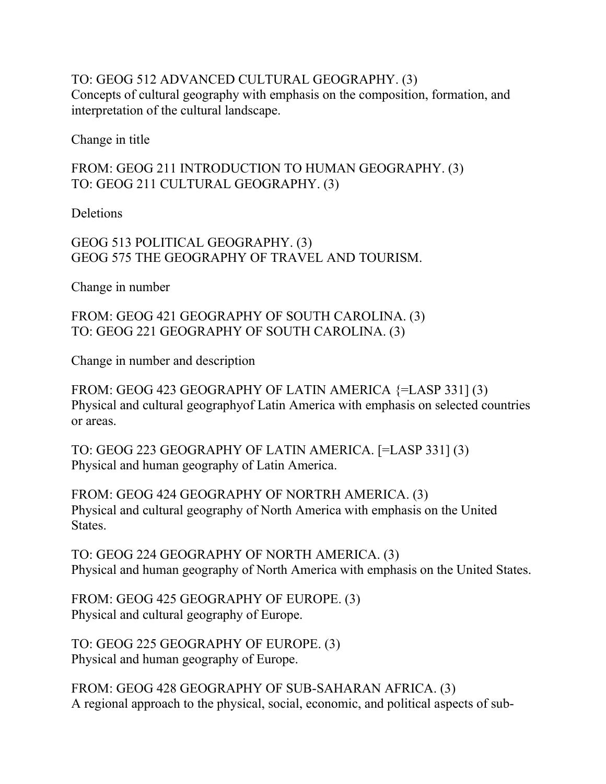## TO: GEOG 512 ADVANCED CULTURAL GEOGRAPHY. (3) Concepts of cultural geography with emphasis on the composition, formation, and interpretation of the cultural landscape.

Change in title

## FROM: GEOG 211 INTRODUCTION TO HUMAN GEOGRAPHY. (3) TO: GEOG 211 CULTURAL GEOGRAPHY. (3)

**Deletions** 

GEOG 513 POLITICAL GEOGRAPHY. (3) GEOG 575 THE GEOGRAPHY OF TRAVEL AND TOURISM.

Change in number

FROM: GEOG 421 GEOGRAPHY OF SOUTH CAROLINA. (3) TO: GEOG 221 GEOGRAPHY OF SOUTH CAROLINA. (3)

Change in number and description

FROM: GEOG 423 GEOGRAPHY OF LATIN AMERICA {=LASP 331] (3) Physical and cultural geographyof Latin America with emphasis on selected countries or areas.

TO: GEOG 223 GEOGRAPHY OF LATIN AMERICA. [=LASP 331] (3) Physical and human geography of Latin America.

FROM: GEOG 424 GEOGRAPHY OF NORTRH AMERICA. (3) Physical and cultural geography of North America with emphasis on the United States.

TO: GEOG 224 GEOGRAPHY OF NORTH AMERICA. (3) Physical and human geography of North America with emphasis on the United States.

FROM: GEOG 425 GEOGRAPHY OF EUROPE. (3) Physical and cultural geography of Europe.

TO: GEOG 225 GEOGRAPHY OF EUROPE. (3) Physical and human geography of Europe.

FROM: GEOG 428 GEOGRAPHY OF SUB-SAHARAN AFRICA. (3) A regional approach to the physical, social, economic, and political aspects of sub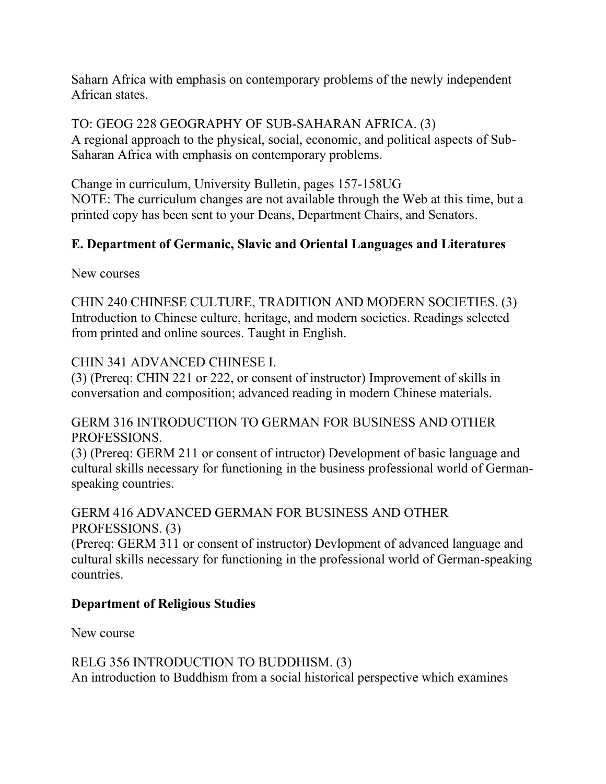Saharn Africa with emphasis on contemporary problems of the newly independent African states.

TO: GEOG 228 GEOGRAPHY OF SUB-SAHARAN AFRICA. (3) A regional approach to the physical, social, economic, and political aspects of Sub-Saharan Africa with emphasis on contemporary problems.

Change in curriculum, University Bulletin, pages 157-158UG NOTE: The curriculum changes are not available through the Web at this time, but a printed copy has been sent to your Deans, Department Chairs, and Senators.

# **E. Department of Germanic, Slavic and Oriental Languages and Literatures**

New courses

CHIN 240 CHINESE CULTURE, TRADITION AND MODERN SOCIETIES. (3) Introduction to Chinese culture, heritage, and modern societies. Readings selected from printed and online sources. Taught in English.

#### CHIN 341 ADVANCED CHINESE I.

(3) (Prereq: CHIN 221 or 222, or consent of instructor) Improvement of skills in conversation and composition; advanced reading in modern Chinese materials.

## GERM 316 INTRODUCTION TO GERMAN FOR BUSINESS AND OTHER PROFESSIONS.

(3) (Prereq: GERM 211 or consent of intructor) Development of basic language and cultural skills necessary for functioning in the business professional world of Germanspeaking countries.

## GERM 416 ADVANCED GERMAN FOR BUSINESS AND OTHER PROFESSIONS. (3)

(Prereq: GERM 311 or consent of instructor) Devlopment of advanced language and cultural skills necessary for functioning in the professional world of German-speaking countries.

## **Department of Religious Studies**

New course

# RELG 356 INTRODUCTION TO BUDDHISM. (3)

An introduction to Buddhism from a social historical perspective which examines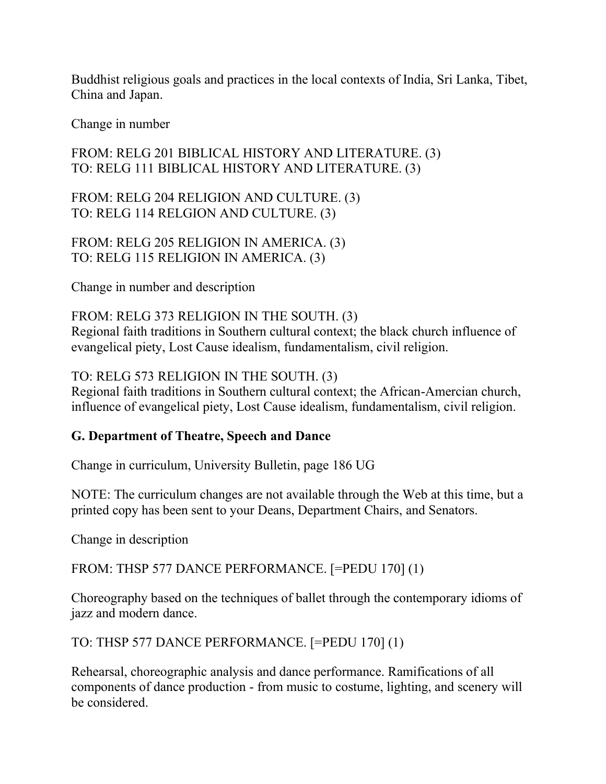Buddhist religious goals and practices in the local contexts of India, Sri Lanka, Tibet, China and Japan.

Change in number

# FROM: RELG 201 BIBLICAL HISTORY AND LITERATURE. (3) TO: RELG 111 BIBLICAL HISTORY AND LITERATURE. (3)

FROM: RELG 204 RELIGION AND CULTURE. (3) TO: RELG 114 RELGION AND CULTURE. (3)

FROM: RELG 205 RELIGION IN AMERICA. (3) TO: RELG 115 RELIGION IN AMERICA. (3)

Change in number and description

#### FROM: RELG 373 RELIGION IN THE SOUTH. (3)

Regional faith traditions in Southern cultural context; the black church influence of evangelical piety, Lost Cause idealism, fundamentalism, civil religion.

TO: RELG 573 RELIGION IN THE SOUTH. (3)

Regional faith traditions in Southern cultural context; the African-Amercian church, influence of evangelical piety, Lost Cause idealism, fundamentalism, civil religion.

## **G. Department of Theatre, Speech and Dance**

Change in curriculum, University Bulletin, page 186 UG

NOTE: The curriculum changes are not available through the Web at this time, but a printed copy has been sent to your Deans, Department Chairs, and Senators.

Change in description

FROM: THSP 577 DANCE PERFORMANCE. [=PEDU 170] (1)

Choreography based on the techniques of ballet through the contemporary idioms of jazz and modern dance.

TO: THSP 577 DANCE PERFORMANCE. [=PEDU 170] (1)

Rehearsal, choreographic analysis and dance performance. Ramifications of all components of dance production - from music to costume, lighting, and scenery will be considered.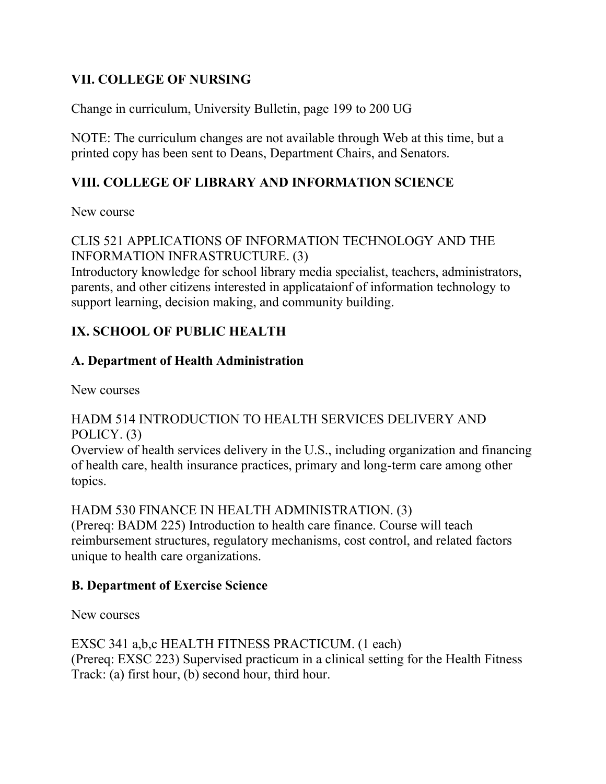# **VII. COLLEGE OF NURSING**

Change in curriculum, University Bulletin, page 199 to 200 UG

NOTE: The curriculum changes are not available through Web at this time, but a printed copy has been sent to Deans, Department Chairs, and Senators.

## **VIII. COLLEGE OF LIBRARY AND INFORMATION SCIENCE**

New course

## CLIS 521 APPLICATIONS OF INFORMATION TECHNOLOGY AND THE INFORMATION INFRASTRUCTURE. (3)

Introductory knowledge for school library media specialist, teachers, administrators, parents, and other citizens interested in applicataionf of information technology to support learning, decision making, and community building.

# **IX. SCHOOL OF PUBLIC HEALTH**

## **A. Department of Health Administration**

New courses

## HADM 514 INTRODUCTION TO HEALTH SERVICES DELIVERY AND POLICY. (3)

Overview of health services delivery in the U.S., including organization and financing of health care, health insurance practices, primary and long-term care among other topics.

HADM 530 FINANCE IN HEALTH ADMINISTRATION. (3)

(Prereq: BADM 225) Introduction to health care finance. Course will teach reimbursement structures, regulatory mechanisms, cost control, and related factors unique to health care organizations.

## **B. Department of Exercise Science**

New courses

EXSC 341 a,b,c HEALTH FITNESS PRACTICUM. (1 each) (Prereq: EXSC 223) Supervised practicum in a clinical setting for the Health Fitness Track: (a) first hour, (b) second hour, third hour.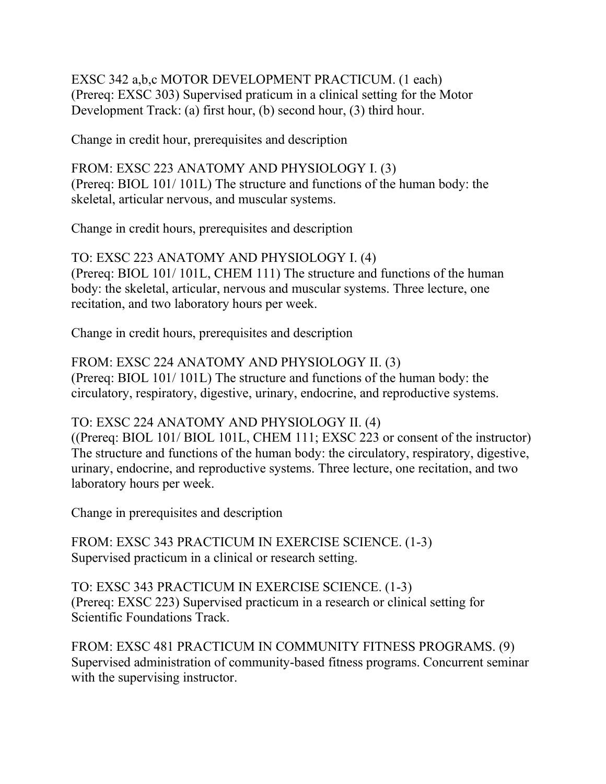EXSC 342 a,b,c MOTOR DEVELOPMENT PRACTICUM. (1 each) (Prereq: EXSC 303) Supervised praticum in a clinical setting for the Motor Development Track: (a) first hour, (b) second hour, (3) third hour.

Change in credit hour, prerequisites and description

FROM: EXSC 223 ANATOMY AND PHYSIOLOGY I. (3) (Prereq: BIOL 101/ 101L) The structure and functions of the human body: the skeletal, articular nervous, and muscular systems.

Change in credit hours, prerequisites and description

TO: EXSC 223 ANATOMY AND PHYSIOLOGY I. (4) (Prereq: BIOL 101/ 101L, CHEM 111) The structure and functions of the human body: the skeletal, articular, nervous and muscular systems. Three lecture, one recitation, and two laboratory hours per week.

Change in credit hours, prerequisites and description

FROM: EXSC 224 ANATOMY AND PHYSIOLOGY II. (3) (Prereq: BIOL 101/ 101L) The structure and functions of the human body: the circulatory, respiratory, digestive, urinary, endocrine, and reproductive systems.

TO: EXSC 224 ANATOMY AND PHYSIOLOGY II. (4)

((Prereq: BIOL 101/ BIOL 101L, CHEM 111; EXSC 223 or consent of the instructor) The structure and functions of the human body: the circulatory, respiratory, digestive, urinary, endocrine, and reproductive systems. Three lecture, one recitation, and two laboratory hours per week.

Change in prerequisites and description

FROM: EXSC 343 PRACTICUM IN EXERCISE SCIENCE. (1-3) Supervised practicum in a clinical or research setting.

TO: EXSC 343 PRACTICUM IN EXERCISE SCIENCE. (1-3) (Prereq: EXSC 223) Supervised practicum in a research or clinical setting for Scientific Foundations Track.

FROM: EXSC 481 PRACTICUM IN COMMUNITY FITNESS PROGRAMS. (9) Supervised administration of community-based fitness programs. Concurrent seminar with the supervising instructor.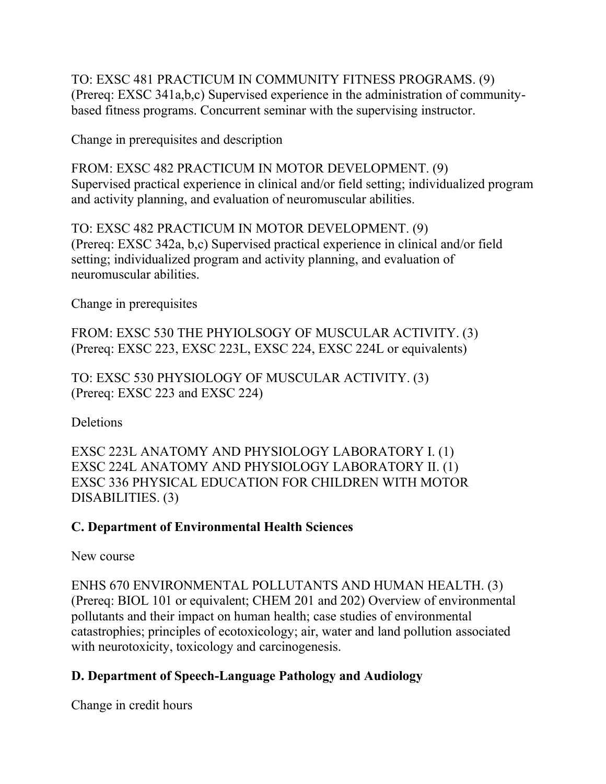TO: EXSC 481 PRACTICUM IN COMMUNITY FITNESS PROGRAMS. (9) (Prereq: EXSC 341a,b,c) Supervised experience in the administration of communitybased fitness programs. Concurrent seminar with the supervising instructor.

Change in prerequisites and description

FROM: EXSC 482 PRACTICUM IN MOTOR DEVELOPMENT. (9) Supervised practical experience in clinical and/or field setting; individualized program and activity planning, and evaluation of neuromuscular abilities.

TO: EXSC 482 PRACTICUM IN MOTOR DEVELOPMENT. (9) (Prereq: EXSC 342a, b,c) Supervised practical experience in clinical and/or field setting; individualized program and activity planning, and evaluation of neuromuscular abilities.

Change in prerequisites

FROM: EXSC 530 THE PHYIOLSOGY OF MUSCULAR ACTIVITY. (3) (Prereq: EXSC 223, EXSC 223L, EXSC 224, EXSC 224L or equivalents)

TO: EXSC 530 PHYSIOLOGY OF MUSCULAR ACTIVITY. (3) (Prereq: EXSC 223 and EXSC 224)

Deletions

EXSC 223L ANATOMY AND PHYSIOLOGY LABORATORY I. (1) EXSC 224L ANATOMY AND PHYSIOLOGY LABORATORY II. (1) EXSC 336 PHYSICAL EDUCATION FOR CHILDREN WITH MOTOR DISABILITIES. (3)

# **C. Department of Environmental Health Sciences**

New course

ENHS 670 ENVIRONMENTAL POLLUTANTS AND HUMAN HEALTH. (3) (Prereq: BIOL 101 or equivalent; CHEM 201 and 202) Overview of environmental pollutants and their impact on human health; case studies of environmental catastrophies; principles of ecotoxicology; air, water and land pollution associated with neurotoxicity, toxicology and carcinogenesis.

# **D. Department of Speech-Language Pathology and Audiology**

Change in credit hours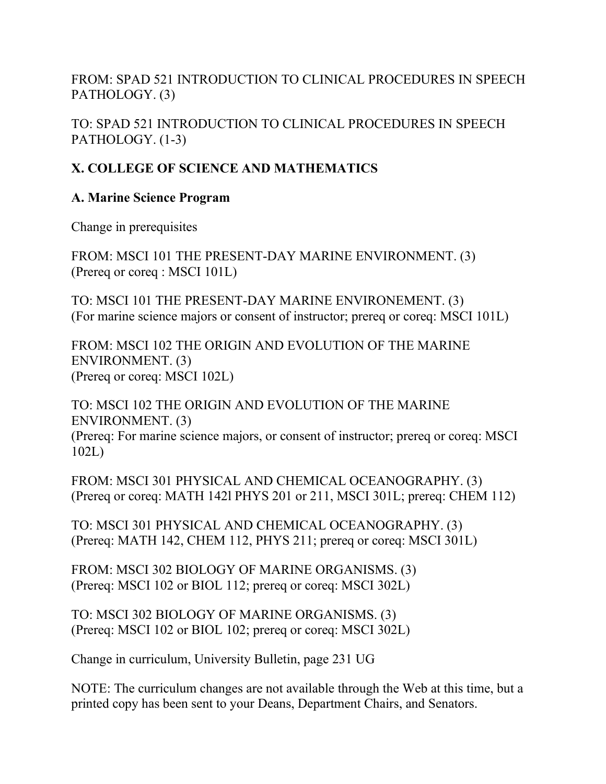FROM: SPAD 521 INTRODUCTION TO CLINICAL PROCEDURES IN SPEECH PATHOLOGY. (3)

TO: SPAD 521 INTRODUCTION TO CLINICAL PROCEDURES IN SPEECH PATHOLOGY. (1-3)

# **X. COLLEGE OF SCIENCE AND MATHEMATICS**

## **A. Marine Science Program**

Change in prerequisites

FROM: MSCI 101 THE PRESENT-DAY MARINE ENVIRONMENT. (3) (Prereq or coreq : MSCI 101L)

TO: MSCI 101 THE PRESENT-DAY MARINE ENVIRONEMENT. (3) (For marine science majors or consent of instructor; prereq or coreq: MSCI 101L)

FROM: MSCI 102 THE ORIGIN AND EVOLUTION OF THE MARINE ENVIRONMENT. (3) (Prereq or coreq: MSCI 102L)

TO: MSCI 102 THE ORIGIN AND EVOLUTION OF THE MARINE ENVIRONMENT. (3) (Prereq: For marine science majors, or consent of instructor; prereq or coreq: MSCI 102L)

FROM: MSCI 301 PHYSICAL AND CHEMICAL OCEANOGRAPHY. (3) (Prereq or coreq: MATH 142l PHYS 201 or 211, MSCI 301L; prereq: CHEM 112)

TO: MSCI 301 PHYSICAL AND CHEMICAL OCEANOGRAPHY. (3) (Prereq: MATH 142, CHEM 112, PHYS 211; prereq or coreq: MSCI 301L)

FROM: MSCI 302 BIOLOGY OF MARINE ORGANISMS. (3) (Prereq: MSCI 102 or BIOL 112; prereq or coreq: MSCI 302L)

TO: MSCI 302 BIOLOGY OF MARINE ORGANISMS. (3) (Prereq: MSCI 102 or BIOL 102; prereq or coreq: MSCI 302L)

Change in curriculum, University Bulletin, page 231 UG

NOTE: The curriculum changes are not available through the Web at this time, but a printed copy has been sent to your Deans, Department Chairs, and Senators.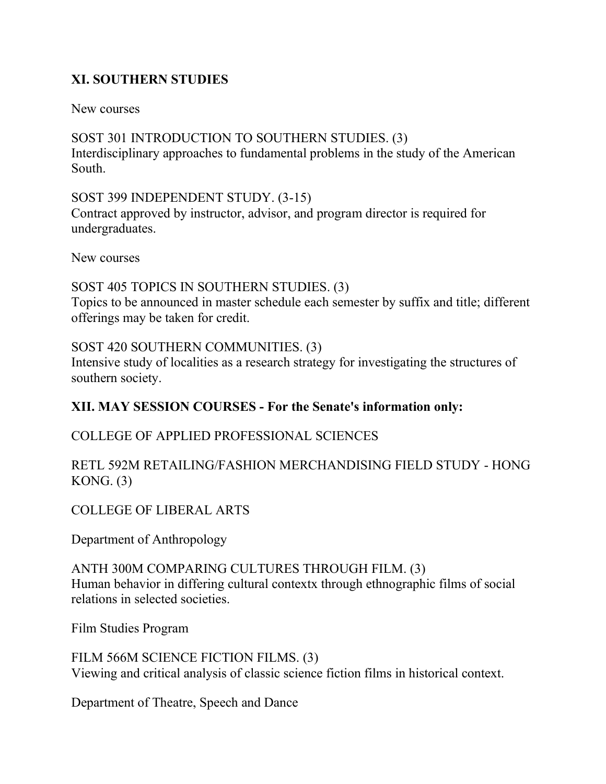# **XI. SOUTHERN STUDIES**

New courses

SOST 301 INTRODUCTION TO SOUTHERN STUDIES. (3) Interdisciplinary approaches to fundamental problems in the study of the American South.

SOST 399 INDEPENDENT STUDY. (3-15)

Contract approved by instructor, advisor, and program director is required for undergraduates.

New courses

SOST 405 TOPICS IN SOUTHERN STUDIES. (3) Topics to be announced in master schedule each semester by suffix and title; different offerings may be taken for credit.

SOST 420 SOUTHERN COMMUNITIES. (3)

Intensive study of localities as a research strategy for investigating the structures of southern society.

## **XII. MAY SESSION COURSES - For the Senate's information only:**

## COLLEGE OF APPLIED PROFESSIONAL SCIENCES

## RETL 592M RETAILING/FASHION MERCHANDISING FIELD STUDY - HONG KONG.  $(3)$

## COLLEGE OF LIBERAL ARTS

Department of Anthropology

ANTH 300M COMPARING CULTURES THROUGH FILM. (3) Human behavior in differing cultural contextx through ethnographic films of social relations in selected societies.

Film Studies Program

FILM 566M SCIENCE FICTION FILMS. (3) Viewing and critical analysis of classic science fiction films in historical context.

Department of Theatre, Speech and Dance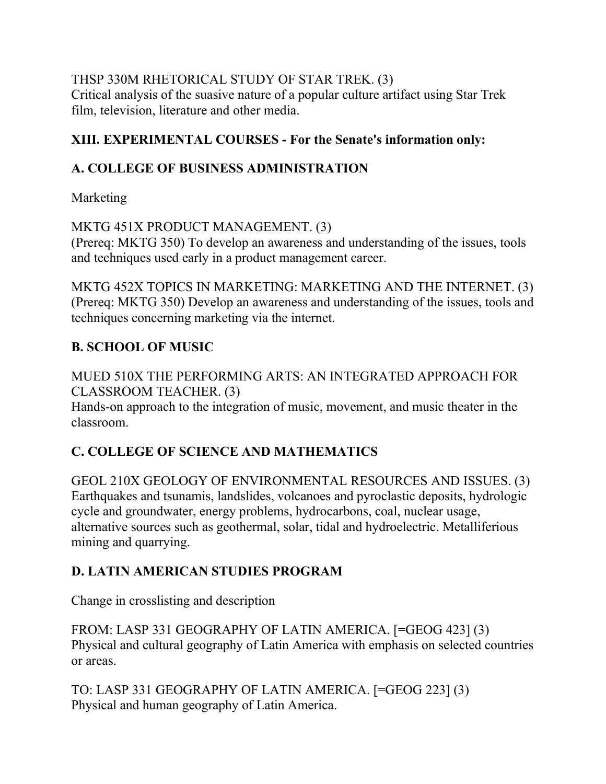THSP 330M RHETORICAL STUDY OF STAR TREK. (3) Critical analysis of the suasive nature of a popular culture artifact using Star Trek film, television, literature and other media.

# **XIII. EXPERIMENTAL COURSES - For the Senate's information only:**

# **A. COLLEGE OF BUSINESS ADMINISTRATION**

Marketing

# MKTG 451X PRODUCT MANAGEMENT. (3)

(Prereq: MKTG 350) To develop an awareness and understanding of the issues, tools and techniques used early in a product management career.

MKTG 452X TOPICS IN MARKETING: MARKETING AND THE INTERNET. (3) (Prereq: MKTG 350) Develop an awareness and understanding of the issues, tools and techniques concerning marketing via the internet.

# **B. SCHOOL OF MUSIC**

MUED 510X THE PERFORMING ARTS: AN INTEGRATED APPROACH FOR CLASSROOM TEACHER. (3)

Hands-on approach to the integration of music, movement, and music theater in the classroom.

# **C. COLLEGE OF SCIENCE AND MATHEMATICS**

GEOL 210X GEOLOGY OF ENVIRONMENTAL RESOURCES AND ISSUES. (3) Earthquakes and tsunamis, landslides, volcanoes and pyroclastic deposits, hydrologic cycle and groundwater, energy problems, hydrocarbons, coal, nuclear usage, alternative sources such as geothermal, solar, tidal and hydroelectric. Metalliferious mining and quarrying.

# **D. LATIN AMERICAN STUDIES PROGRAM**

Change in crosslisting and description

FROM: LASP 331 GEOGRAPHY OF LATIN AMERICA. [=GEOG 423] (3) Physical and cultural geography of Latin America with emphasis on selected countries or areas.

TO: LASP 331 GEOGRAPHY OF LATIN AMERICA. [=GEOG 223] (3) Physical and human geography of Latin America.